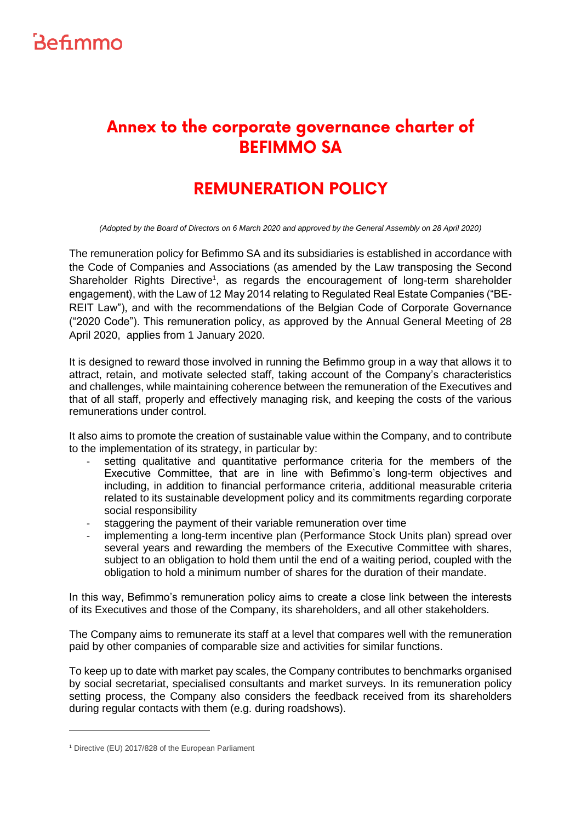## Annex to the corporate governance charter of **BEFIMMO SA**

## **REMUNERATION POLICY**

*(Adopted by the Board of Directors on 6 March 2020 and approved by the General Assembly on 28 April 2020)*

The remuneration policy for Befimmo SA and its subsidiaries is established in accordance with the Code of Companies and Associations (as amended by the Law transposing the Second Shareholder Rights Directive<sup>1</sup>, as regards the encouragement of long-term shareholder engagement), with the Law of 12 May 2014 relating to Regulated Real Estate Companies ("BE-REIT Law"), and with the recommendations of the Belgian Code of Corporate Governance ("2020 Code"). This remuneration policy, as approved by the Annual General Meeting of 28 April 2020, applies from 1 January 2020.

It is designed to reward those involved in running the Befimmo group in a way that allows it to attract, retain, and motivate selected staff, taking account of the Company's characteristics and challenges, while maintaining coherence between the remuneration of the Executives and that of all staff, properly and effectively managing risk, and keeping the costs of the various remunerations under control.

It also aims to promote the creation of sustainable value within the Company, and to contribute to the implementation of its strategy, in particular by:

- setting qualitative and quantitative performance criteria for the members of the Executive Committee, that are in line with Befimmo's long-term objectives and including, in addition to financial performance criteria, additional measurable criteria related to its sustainable development policy and its commitments regarding corporate social responsibility
- staggering the payment of their variable remuneration over time
- implementing a long-term incentive plan (Performance Stock Units plan) spread over several years and rewarding the members of the Executive Committee with shares, subject to an obligation to hold them until the end of a waiting period, coupled with the obligation to hold a minimum number of shares for the duration of their mandate.

In this way, Befimmo's remuneration policy aims to create a close link between the interests of its Executives and those of the Company, its shareholders, and all other stakeholders.

The Company aims to remunerate its staff at a level that compares well with the remuneration paid by other companies of comparable size and activities for similar functions.

To keep up to date with market pay scales, the Company contributes to benchmarks organised by social secretariat, specialised consultants and market surveys. In its remuneration policy setting process, the Company also considers the feedback received from its shareholders during regular contacts with them (e.g. during roadshows).

<sup>1</sup> Directive (EU) 2017/828 of the European Parliament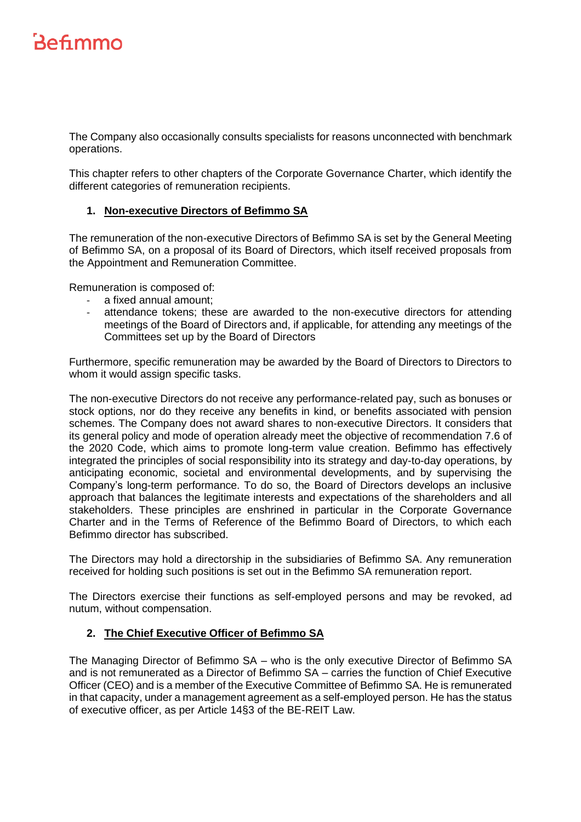The Company also occasionally consults specialists for reasons unconnected with benchmark operations.

This chapter refers to other chapters of the Corporate Governance Charter, which identify the different categories of remuneration recipients.

#### **1. Non-executive Directors of Befimmo SA**

The remuneration of the non-executive Directors of Befimmo SA is set by the General Meeting of Befimmo SA, on a proposal of its Board of Directors, which itself received proposals from the Appointment and Remuneration Committee.

Remuneration is composed of:

- a fixed annual amount;
- attendance tokens; these are awarded to the non-executive directors for attending meetings of the Board of Directors and, if applicable, for attending any meetings of the Committees set up by the Board of Directors

Furthermore, specific remuneration may be awarded by the Board of Directors to Directors to whom it would assign specific tasks.

The non-executive Directors do not receive any performance-related pay, such as bonuses or stock options, nor do they receive any benefits in kind, or benefits associated with pension schemes. The Company does not award shares to non-executive Directors. It considers that its general policy and mode of operation already meet the objective of recommendation 7.6 of the 2020 Code, which aims to promote long-term value creation. Befimmo has effectively integrated the principles of social responsibility into its strategy and day-to-day operations, by anticipating economic, societal and environmental developments, and by supervising the Company's long-term performance. To do so, the Board of Directors develops an inclusive approach that balances the legitimate interests and expectations of the shareholders and all stakeholders. These principles are enshrined in particular in the Corporate Governance Charter and in the Terms of Reference of the Befimmo Board of Directors, to which each Befimmo director has subscribed.

The Directors may hold a directorship in the subsidiaries of Befimmo SA. Any remuneration received for holding such positions is set out in the Befimmo SA remuneration report.

The Directors exercise their functions as self-employed persons and may be revoked, ad nutum, without compensation.

### **2. The Chief Executive Officer of Befimmo SA**

The Managing Director of Befimmo SA – who is the only executive Director of Befimmo SA and is not remunerated as a Director of Befimmo SA – carries the function of Chief Executive Officer (CEO) and is a member of the Executive Committee of Befimmo SA. He is remunerated in that capacity, under a management agreement as a self-employed person. He has the status of executive officer, as per Article 14§3 of the BE-REIT Law.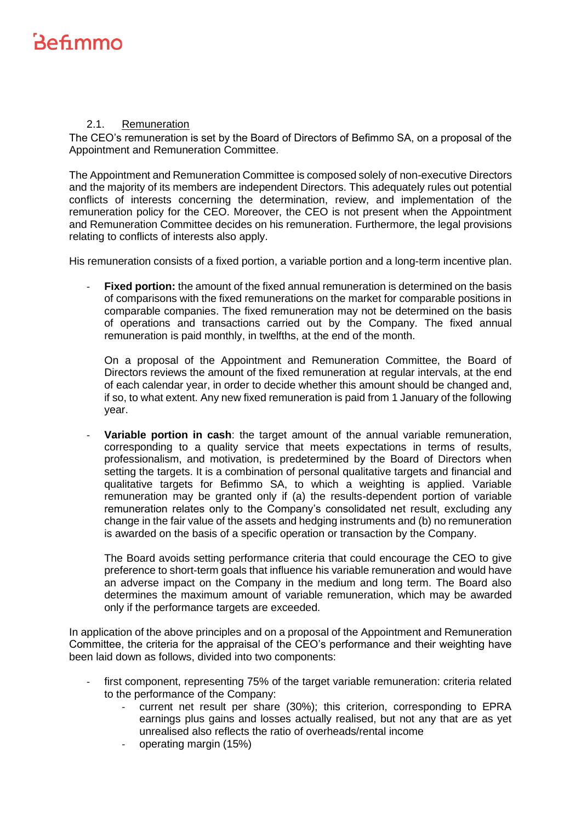### 2.1. Remuneration

The CEO's remuneration is set by the Board of Directors of Befimmo SA, on a proposal of the Appointment and Remuneration Committee.

The Appointment and Remuneration Committee is composed solely of non-executive Directors and the majority of its members are independent Directors. This adequately rules out potential conflicts of interests concerning the determination, review, and implementation of the remuneration policy for the CEO. Moreover, the CEO is not present when the Appointment and Remuneration Committee decides on his remuneration. Furthermore, the legal provisions relating to conflicts of interests also apply.

His remuneration consists of a fixed portion, a variable portion and a long-term incentive plan.

- **Fixed portion:** the amount of the fixed annual remuneration is determined on the basis of comparisons with the fixed remunerations on the market for comparable positions in comparable companies. The fixed remuneration may not be determined on the basis of operations and transactions carried out by the Company. The fixed annual remuneration is paid monthly, in twelfths, at the end of the month.

On a proposal of the Appointment and Remuneration Committee, the Board of Directors reviews the amount of the fixed remuneration at regular intervals, at the end of each calendar year, in order to decide whether this amount should be changed and, if so, to what extent. Any new fixed remuneration is paid from 1 January of the following year.

**Variable portion in cash:** the target amount of the annual variable remuneration, corresponding to a quality service that meets expectations in terms of results, professionalism, and motivation, is predetermined by the Board of Directors when setting the targets. It is a combination of personal qualitative targets and financial and qualitative targets for Befimmo SA, to which a weighting is applied. Variable remuneration may be granted only if (a) the results-dependent portion of variable remuneration relates only to the Company's consolidated net result, excluding any change in the fair value of the assets and hedging instruments and (b) no remuneration is awarded on the basis of a specific operation or transaction by the Company.

The Board avoids setting performance criteria that could encourage the CEO to give preference to short-term goals that influence his variable remuneration and would have an adverse impact on the Company in the medium and long term. The Board also determines the maximum amount of variable remuneration, which may be awarded only if the performance targets are exceeded.

In application of the above principles and on a proposal of the Appointment and Remuneration Committee, the criteria for the appraisal of the CEO's performance and their weighting have been laid down as follows, divided into two components:

- first component, representing 75% of the target variable remuneration: criteria related to the performance of the Company:
	- current net result per share (30%); this criterion, corresponding to EPRA earnings plus gains and losses actually realised, but not any that are as yet unrealised also reflects the ratio of overheads/rental income
	- operating margin (15%)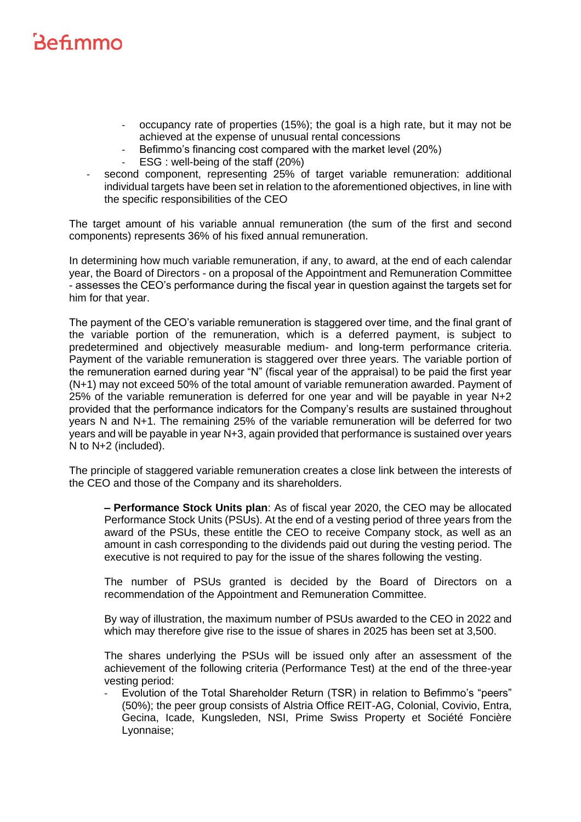- occupancy rate of properties (15%); the goal is a high rate, but it may not be achieved at the expense of unusual rental concessions
- Befimmo's financing cost compared with the market level (20%)
- ESG : well-being of the staff (20%)
- second component, representing 25% of target variable remuneration: additional individual targets have been set in relation to the aforementioned objectives, in line with the specific responsibilities of the CEO

The target amount of his variable annual remuneration (the sum of the first and second components) represents 36% of his fixed annual remuneration.

In determining how much variable remuneration, if any, to award, at the end of each calendar year, the Board of Directors - on a proposal of the Appointment and Remuneration Committee - assesses the CEO's performance during the fiscal year in question against the targets set for him for that year.

The payment of the CEO's variable remuneration is staggered over time, and the final grant of the variable portion of the remuneration, which is a deferred payment, is subject to predetermined and objectively measurable medium- and long-term performance criteria. Payment of the variable remuneration is staggered over three years. The variable portion of the remuneration earned during year "N" (fiscal year of the appraisal) to be paid the first year (N+1) may not exceed 50% of the total amount of variable remuneration awarded. Payment of 25% of the variable remuneration is deferred for one year and will be payable in year  $N+2$ provided that the performance indicators for the Company's results are sustained throughout years N and N+1. The remaining 25% of the variable remuneration will be deferred for two years and will be payable in year N+3, again provided that performance is sustained over years N to N+2 (included).

The principle of staggered variable remuneration creates a close link between the interests of the CEO and those of the Company and its shareholders.

**– Performance Stock Units plan**: As of fiscal year 2020, the CEO may be allocated Performance Stock Units (PSUs). At the end of a vesting period of three years from the award of the PSUs, these entitle the CEO to receive Company stock, as well as an amount in cash corresponding to the dividends paid out during the vesting period. The executive is not required to pay for the issue of the shares following the vesting.

The number of PSUs granted is decided by the Board of Directors on a recommendation of the Appointment and Remuneration Committee.

By way of illustration, the maximum number of PSUs awarded to the CEO in 2022 and which may therefore give rise to the issue of shares in 2025 has been set at 3,500.

The shares underlying the PSUs will be issued only after an assessment of the achievement of the following criteria (Performance Test) at the end of the three-year vesting period:

- Evolution of the Total Shareholder Return (TSR) in relation to Befimmo's "peers" (50%); the peer group consists of Alstria Office REIT-AG, Colonial, Covivio, Entra, Gecina, Icade, Kungsleden, NSI, Prime Swiss Property et Société Foncière Lyonnaise;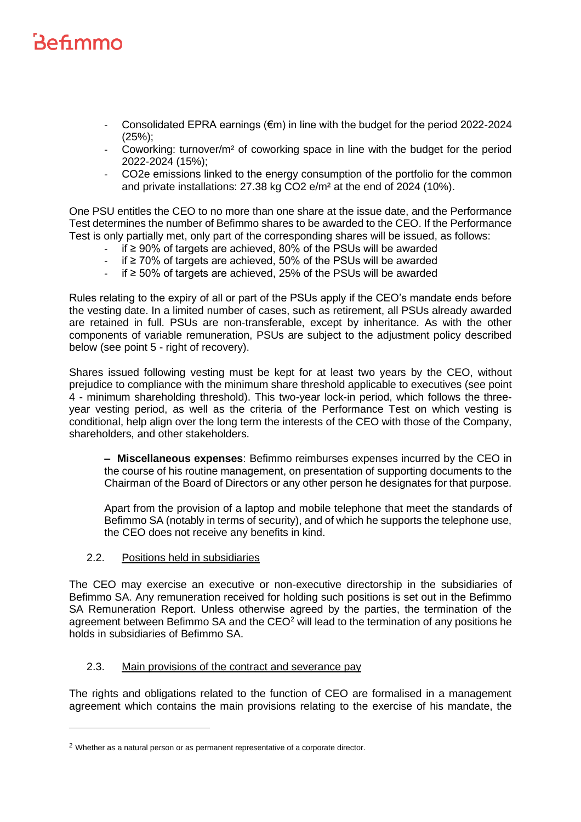- Consolidated EPRA earnings ( $\epsilon$ m) in line with the budget for the period 2022-2024 (25%);
- Coworking: turnover/m² of coworking space in line with the budget for the period 2022-2024 (15%);
- CO2e emissions linked to the energy consumption of the portfolio for the common and private installations: 27.38 kg CO2 e/m² at the end of 2024 (10%).

One PSU entitles the CEO to no more than one share at the issue date, and the Performance Test determines the number of Befimmo shares to be awarded to the CEO. If the Performance Test is only partially met, only part of the corresponding shares will be issued, as follows:

- if ≥ 90% of targets are achieved, 80% of the PSUs will be awarded
- if ≥ 70% of targets are achieved, 50% of the PSUs will be awarded<br>- if ≥ 50% of targets are achieved, 25% of the PSUs will be awarded
- if ≥ 50% of targets are achieved, 25% of the PSUs will be awarded

Rules relating to the expiry of all or part of the PSUs apply if the CEO's mandate ends before the vesting date. In a limited number of cases, such as retirement, all PSUs already awarded are retained in full. PSUs are non-transferable, except by inheritance. As with the other components of variable remuneration, PSUs are subject to the adjustment policy described below (see point 5 - right of recovery).

Shares issued following vesting must be kept for at least two years by the CEO, without prejudice to compliance with the minimum share threshold applicable to executives (see point 4 - minimum shareholding threshold). This two-year lock-in period, which follows the threeyear vesting period, as well as the criteria of the Performance Test on which vesting is conditional, help align over the long term the interests of the CEO with those of the Company, shareholders, and other stakeholders.

**– Miscellaneous expenses**: Befimmo reimburses expenses incurred by the CEO in the course of his routine management, on presentation of supporting documents to the Chairman of the Board of Directors or any other person he designates for that purpose.

Apart from the provision of a laptop and mobile telephone that meet the standards of Befimmo SA (notably in terms of security), and of which he supports the telephone use, the CEO does not receive any benefits in kind.

### 2.2. Positions held in subsidiaries

The CEO may exercise an executive or non-executive directorship in the subsidiaries of Befimmo SA. Any remuneration received for holding such positions is set out in the Befimmo SA Remuneration Report. Unless otherwise agreed by the parties, the termination of the agreement between Befimmo SA and the  $CEO<sup>2</sup>$  will lead to the termination of any positions he holds in subsidiaries of Befimmo SA.

### 2.3. Main provisions of the contract and severance pay

The rights and obligations related to the function of CEO are formalised in a management agreement which contains the main provisions relating to the exercise of his mandate, the

<sup>2</sup> Whether as a natural person or as permanent representative of a corporate director.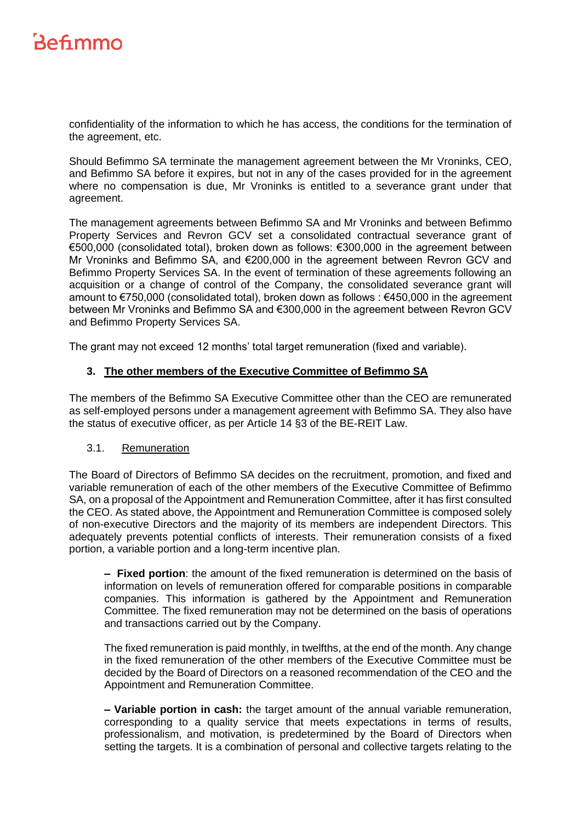confidentiality of the information to which he has access, the conditions for the termination of the agreement, etc.

Should Befimmo SA terminate the management agreement between the Mr Vroninks, CEO, and Befimmo SA before it expires, but not in any of the cases provided for in the agreement where no compensation is due, Mr Vroninks is entitled to a severance grant under that agreement.

The management agreements between Befimmo SA and Mr Vroninks and between Befimmo Property Services and Revron GCV set a consolidated contractual severance grant of €500,000 (consolidated total), broken down as follows: €300,000 in the agreement between Mr Vroninks and Befimmo SA, and €200,000 in the agreement between Revron GCV and Befimmo Property Services SA. In the event of termination of these agreements following an acquisition or a change of control of the Company, the consolidated severance grant will amount to €750,000 (consolidated total), broken down as follows : €450,000 in the agreement between Mr Vroninks and Befimmo SA and €300,000 in the agreement between Revron GCV and Befimmo Property Services SA.

The grant may not exceed 12 months' total target remuneration (fixed and variable).

### **3. The other members of the Executive Committee of Befimmo SA**

The members of the Befimmo SA Executive Committee other than the CEO are remunerated as self-employed persons under a management agreement with Befimmo SA. They also have the status of executive officer, as per Article 14 §3 of the BE-REIT Law.

#### 3.1. Remuneration

The Board of Directors of Befimmo SA decides on the recruitment, promotion, and fixed and variable remuneration of each of the other members of the Executive Committee of Befimmo SA, on a proposal of the Appointment and Remuneration Committee, after it has first consulted the CEO. As stated above, the Appointment and Remuneration Committee is composed solely of non-executive Directors and the majority of its members are independent Directors. This adequately prevents potential conflicts of interests. Their remuneration consists of a fixed portion, a variable portion and a long-term incentive plan.

**– Fixed portion**: the amount of the fixed remuneration is determined on the basis of information on levels of remuneration offered for comparable positions in comparable companies. This information is gathered by the Appointment and Remuneration Committee. The fixed remuneration may not be determined on the basis of operations and transactions carried out by the Company.

The fixed remuneration is paid monthly, in twelfths, at the end of the month. Any change in the fixed remuneration of the other members of the Executive Committee must be decided by the Board of Directors on a reasoned recommendation of the CEO and the Appointment and Remuneration Committee.

**– Variable portion in cash:** the target amount of the annual variable remuneration, corresponding to a quality service that meets expectations in terms of results, professionalism, and motivation, is predetermined by the Board of Directors when setting the targets. It is a combination of personal and collective targets relating to the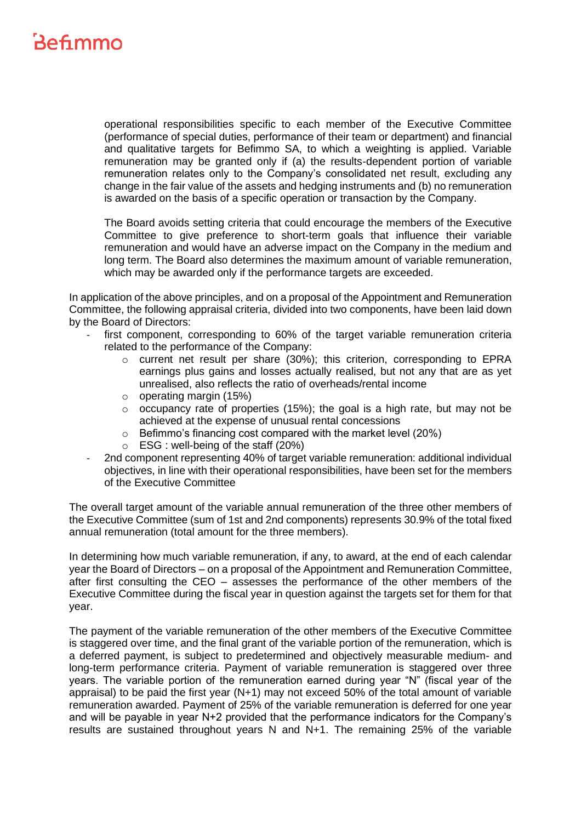operational responsibilities specific to each member of the Executive Committee (performance of special duties, performance of their team or department) and financial and qualitative targets for Befimmo SA, to which a weighting is applied. Variable remuneration may be granted only if (a) the results-dependent portion of variable remuneration relates only to the Company's consolidated net result, excluding any change in the fair value of the assets and hedging instruments and (b) no remuneration is awarded on the basis of a specific operation or transaction by the Company.

The Board avoids setting criteria that could encourage the members of the Executive Committee to give preference to short-term goals that influence their variable remuneration and would have an adverse impact on the Company in the medium and long term. The Board also determines the maximum amount of variable remuneration, which may be awarded only if the performance targets are exceeded.

In application of the above principles, and on a proposal of the Appointment and Remuneration Committee, the following appraisal criteria, divided into two components, have been laid down by the Board of Directors:

- first component, corresponding to 60% of the target variable remuneration criteria related to the performance of the Company:
	- o current net result per share (30%); this criterion, corresponding to EPRA earnings plus gains and losses actually realised, but not any that are as yet unrealised, also reflects the ratio of overheads/rental income
	- $\circ$  operating margin (15%)
	- $\circ$  occupancy rate of properties (15%); the goal is a high rate, but may not be achieved at the expense of unusual rental concessions
	- o Befimmo's financing cost compared with the market level (20%)
	- o ESG : well-being of the staff (20%)
- 2nd component representing 40% of target variable remuneration: additional individual objectives, in line with their operational responsibilities, have been set for the members of the Executive Committee

The overall target amount of the variable annual remuneration of the three other members of the Executive Committee (sum of 1st and 2nd components) represents 30.9% of the total fixed annual remuneration (total amount for the three members).

In determining how much variable remuneration, if any, to award, at the end of each calendar year the Board of Directors – on a proposal of the Appointment and Remuneration Committee, after first consulting the CEO – assesses the performance of the other members of the Executive Committee during the fiscal year in question against the targets set for them for that year.

The payment of the variable remuneration of the other members of the Executive Committee is staggered over time, and the final grant of the variable portion of the remuneration, which is a deferred payment, is subject to predetermined and objectively measurable medium- and long-term performance criteria. Payment of variable remuneration is staggered over three years. The variable portion of the remuneration earned during year "N" (fiscal year of the appraisal) to be paid the first year (N+1) may not exceed 50% of the total amount of variable remuneration awarded. Payment of 25% of the variable remuneration is deferred for one year and will be payable in year N+2 provided that the performance indicators for the Company's results are sustained throughout years N and N+1. The remaining 25% of the variable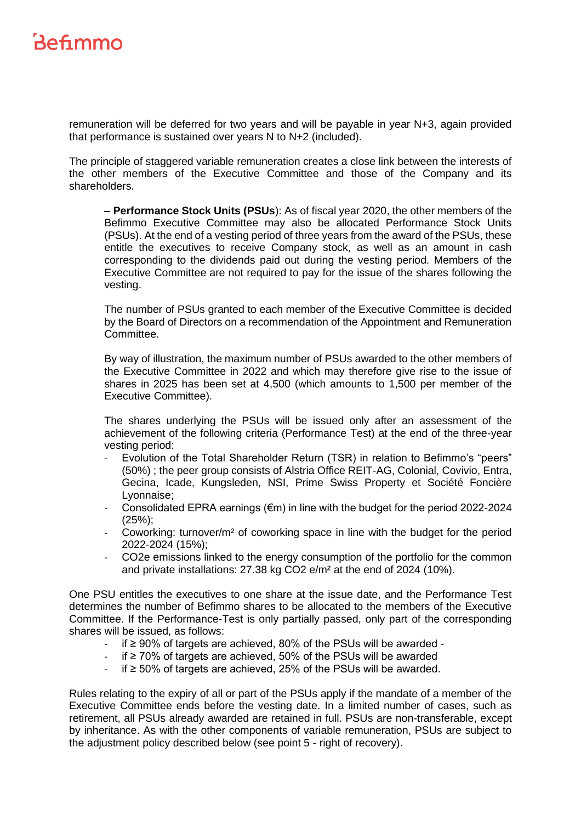remuneration will be deferred for two years and will be payable in year N+3, again provided that performance is sustained over years N to N+2 (included).

The principle of staggered variable remuneration creates a close link between the interests of the other members of the Executive Committee and those of the Company and its shareholders.

**– Performance Stock Units (PSUs**): As of fiscal year 2020, the other members of the Befimmo Executive Committee may also be allocated Performance Stock Units (PSUs). At the end of a vesting period of three years from the award of the PSUs, these entitle the executives to receive Company stock, as well as an amount in cash corresponding to the dividends paid out during the vesting period. Members of the Executive Committee are not required to pay for the issue of the shares following the vesting.

The number of PSUs granted to each member of the Executive Committee is decided by the Board of Directors on a recommendation of the Appointment and Remuneration Committee.

By way of illustration, the maximum number of PSUs awarded to the other members of the Executive Committee in 2022 and which may therefore give rise to the issue of shares in 2025 has been set at 4,500 (which amounts to 1,500 per member of the Executive Committee).

The shares underlying the PSUs will be issued only after an assessment of the achievement of the following criteria (Performance Test) at the end of the three-year vesting period:

- Evolution of the Total Shareholder Return (TSR) in relation to Befimmo's "peers" (50%) ; the peer group consists of Alstria Office REIT-AG, Colonial, Covivio, Entra, Gecina, Icade, Kungsleden, NSI, Prime Swiss Property et Société Foncière Lyonnaise;
- Consolidated EPRA earnings (€m) in line with the budget for the period 2022-2024  $(25%)$ :
- Coworking: turnover/m<sup>2</sup> of coworking space in line with the budget for the period 2022-2024 (15%);
- CO2e emissions linked to the energy consumption of the portfolio for the common and private installations: 27.38 kg CO2 e/m² at the end of 2024 (10%).

One PSU entitles the executives to one share at the issue date, and the Performance Test determines the number of Befimmo shares to be allocated to the members of the Executive Committee. If the Performance-Test is only partially passed, only part of the corresponding shares will be issued, as follows:

- $if$  ≥ 90% of targets are achieved, 80% of the PSUs will be awarded -
- if ≥ 70% of targets are achieved, 50% of the PSUs will be awarded
- if ≥ 50% of targets are achieved, 25% of the PSUs will be awarded.

Rules relating to the expiry of all or part of the PSUs apply if the mandate of a member of the Executive Committee ends before the vesting date. In a limited number of cases, such as retirement, all PSUs already awarded are retained in full. PSUs are non-transferable, except by inheritance. As with the other components of variable remuneration, PSUs are subject to the adjustment policy described below (see point 5 - right of recovery).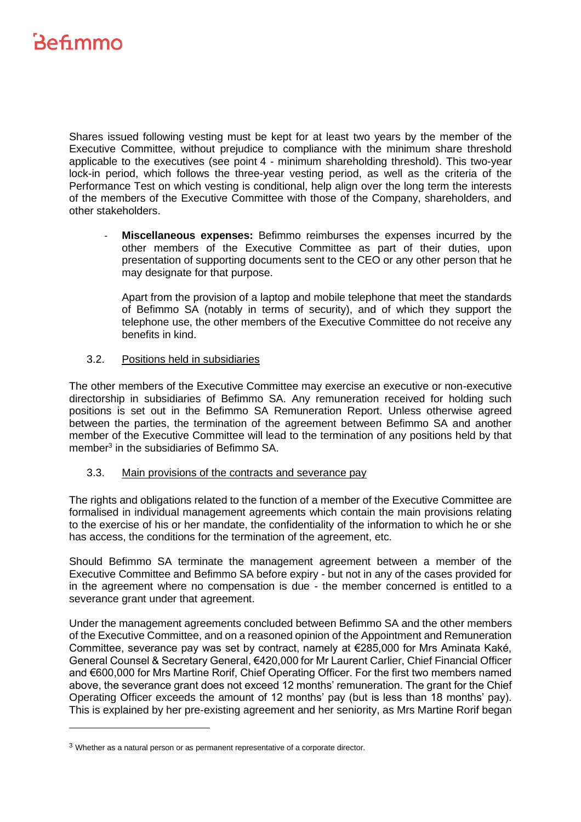Shares issued following vesting must be kept for at least two years by the member of the Executive Committee, without prejudice to compliance with the minimum share threshold applicable to the executives (see point 4 - minimum shareholding threshold). This two-year lock-in period, which follows the three-year vesting period, as well as the criteria of the Performance Test on which vesting is conditional, help align over the long term the interests of the members of the Executive Committee with those of the Company, shareholders, and other stakeholders.

- **Miscellaneous expenses:** Befimmo reimburses the expenses incurred by the other members of the Executive Committee as part of their duties, upon presentation of supporting documents sent to the CEO or any other person that he may designate for that purpose.

Apart from the provision of a laptop and mobile telephone that meet the standards of Befimmo SA (notably in terms of security), and of which they support the telephone use, the other members of the Executive Committee do not receive any benefits in kind.

3.2. Positions held in subsidiaries

The other members of the Executive Committee may exercise an executive or non-executive directorship in subsidiaries of Befimmo SA. Any remuneration received for holding such positions is set out in the Befimmo SA Remuneration Report. Unless otherwise agreed between the parties, the termination of the agreement between Befimmo SA and another member of the Executive Committee will lead to the termination of any positions held by that member<sup>3</sup> in the subsidiaries of Befimmo SA.

3.3. Main provisions of the contracts and severance pay

The rights and obligations related to the function of a member of the Executive Committee are formalised in individual management agreements which contain the main provisions relating to the exercise of his or her mandate, the confidentiality of the information to which he or she has access, the conditions for the termination of the agreement, etc.

Should Befimmo SA terminate the management agreement between a member of the Executive Committee and Befimmo SA before expiry - but not in any of the cases provided for in the agreement where no compensation is due - the member concerned is entitled to a severance grant under that agreement.

Under the management agreements concluded between Befimmo SA and the other members of the Executive Committee, and on a reasoned opinion of the Appointment and Remuneration Committee, severance pay was set by contract, namely at €285,000 for Mrs Aminata Kaké, General Counsel & Secretary General, €420,000 for Mr Laurent Carlier, Chief Financial Officer and €600,000 for Mrs Martine Rorif, Chief Operating Officer. For the first two members named above, the severance grant does not exceed 12 months' remuneration. The grant for the Chief Operating Officer exceeds the amount of 12 months' pay (but is less than 18 months' pay). This is explained by her pre-existing agreement and her seniority, as Mrs Martine Rorif began

<sup>&</sup>lt;sup>3</sup> Whether as a natural person or as permanent representative of a corporate director.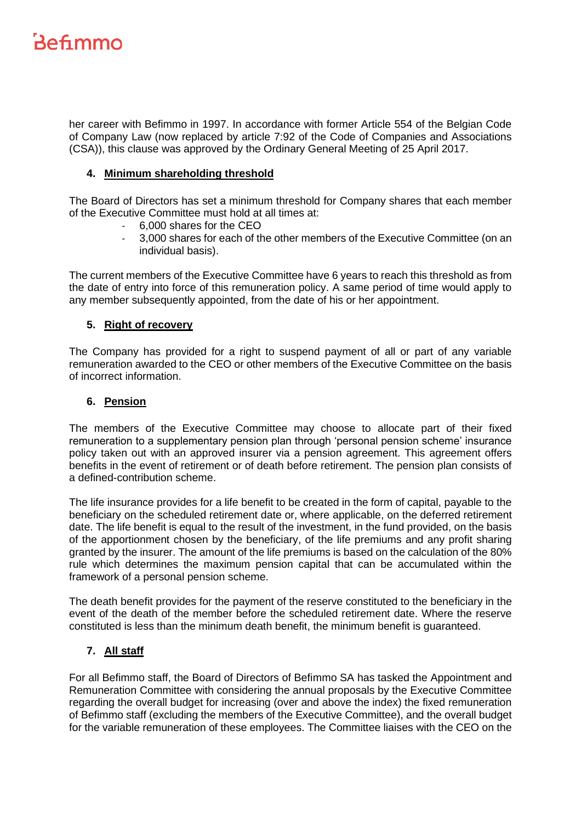her career with Befimmo in 1997. In accordance with former Article 554 of the Belgian Code of Company Law (now replaced by article 7:92 of the Code of Companies and Associations (CSA)), this clause was approved by the Ordinary General Meeting of 25 April 2017.

### **4. Minimum shareholding threshold**

The Board of Directors has set a minimum threshold for Company shares that each member of the Executive Committee must hold at all times at:

- 6,000 shares for the CEO
- 3,000 shares for each of the other members of the Executive Committee (on an individual basis).

The current members of the Executive Committee have 6 years to reach this threshold as from the date of entry into force of this remuneration policy. A same period of time would apply to any member subsequently appointed, from the date of his or her appointment.

### **5. Right of recovery**

The Company has provided for a right to suspend payment of all or part of any variable remuneration awarded to the CEO or other members of the Executive Committee on the basis of incorrect information.

### **6. Pension**

The members of the Executive Committee may choose to allocate part of their fixed remuneration to a supplementary pension plan through 'personal pension scheme' insurance policy taken out with an approved insurer via a pension agreement. This agreement offers benefits in the event of retirement or of death before retirement. The pension plan consists of a defined-contribution scheme.

The life insurance provides for a life benefit to be created in the form of capital, payable to the beneficiary on the scheduled retirement date or, where applicable, on the deferred retirement date. The life benefit is equal to the result of the investment, in the fund provided, on the basis of the apportionment chosen by the beneficiary, of the life premiums and any profit sharing granted by the insurer. The amount of the life premiums is based on the calculation of the 80% rule which determines the maximum pension capital that can be accumulated within the framework of a personal pension scheme.

The death benefit provides for the payment of the reserve constituted to the beneficiary in the event of the death of the member before the scheduled retirement date. Where the reserve constituted is less than the minimum death benefit, the minimum benefit is guaranteed.

### **7. All staff**

For all Befimmo staff, the Board of Directors of Befimmo SA has tasked the Appointment and Remuneration Committee with considering the annual proposals by the Executive Committee regarding the overall budget for increasing (over and above the index) the fixed remuneration of Befimmo staff (excluding the members of the Executive Committee), and the overall budget for the variable remuneration of these employees. The Committee liaises with the CEO on the